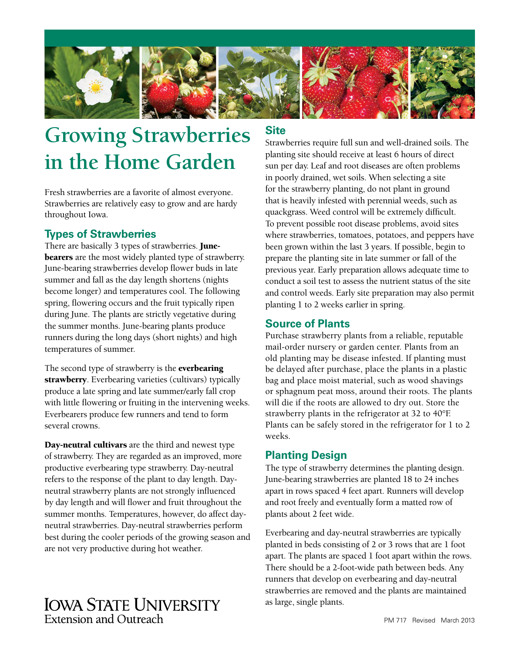

# **Growing Strawberries in the Home Garden**

Fresh strawberries are a favorite of almost everyone. Strawberries are relatively easy to grow and are hardy throughout Iowa.

#### **Types of Strawberries**

There are basically 3 types of strawberries. **Junebearers** are the most widely planted type of strawberry. June-bearing strawberries develop flower buds in late summer and fall as the day length shortens (nights become longer) and temperatures cool. The following spring, flowering occurs and the fruit typically ripen during June. The plants are strictly vegetative during the summer months. June-bearing plants produce runners during the long days (short nights) and high temperatures of summer.

The second type of strawberry is the **everbearing** strawberry. Everbearing varieties (cultivars) typically produce a late spring and late summer/early fall crop with little flowering or fruiting in the intervening weeks. Everbearers produce few runners and tend to form several crowns.

Day-neutral cultivars are the third and newest type of strawberry. They are regarded as an improved, more productive everbearing type strawberry. Day-neutral refers to the response of the plant to day length. Dayneutral strawberry plants are not strongly influenced by day length and will flower and fruit throughout the summer months. Temperatures, however, do affect dayneutral strawberries. Day-neutral strawberries perform best during the cooler periods of the growing season and

# are not very productive during hot weather.

# **IOWA STATE UNIVERSITY Extension and Outreach**

# **Site**

Strawberries require full sun and well-drained soils. The planting site should receive at least 6 hours of direct sun per day. Leaf and root diseases are often problems in poorly drained, wet soils. When selecting a site for the strawberry planting, do not plant in ground that is heavily infested with perennial weeds, such as quackgrass. Weed control will be extremely difficult. To prevent possible root disease problems, avoid sites where strawberries, tomatoes, potatoes, and peppers have been grown within the last 3 years. If possible, begin to prepare the planting site in late summer or fall of the previous year. Early preparation allows adequate time to conduct a soil test to assess the nutrient status of the site and control weeds. Early site preparation may also permit planting 1 to 2 weeks earlier in spring.

# **Source of Plants**

Purchase strawberry plants from a reliable, reputable mail-order nursery or garden center. Plants from an old planting may be disease infested. If planting must be delayed after purchase, place the plants in a plastic bag and place moist material, such as wood shavings or sphagnum peat moss, around their roots. The plants will die if the roots are allowed to dry out. Store the strawberry plants in the refrigerator at 32 to 40°F. Plants can be safely stored in the refrigerator for 1 to 2 weeks.

# **Planting Design**

The type of strawberry determines the planting design. June-bearing strawberries are planted 18 to 24 inches apart in rows spaced 4 feet apart. Runners will develop and root freely and eventually form a matted row of plants about 2 feet wide.

Everbearing and day-neutral strawberries are typically planted in beds consisting of 2 or 3 rows that are 1 foot apart. The plants are spaced 1 foot apart within the rows. There should be a 2-foot-wide path between beds. Any runners that develop on everbearing and day-neutral strawberries are removed and the plants are maintained as large, single plants.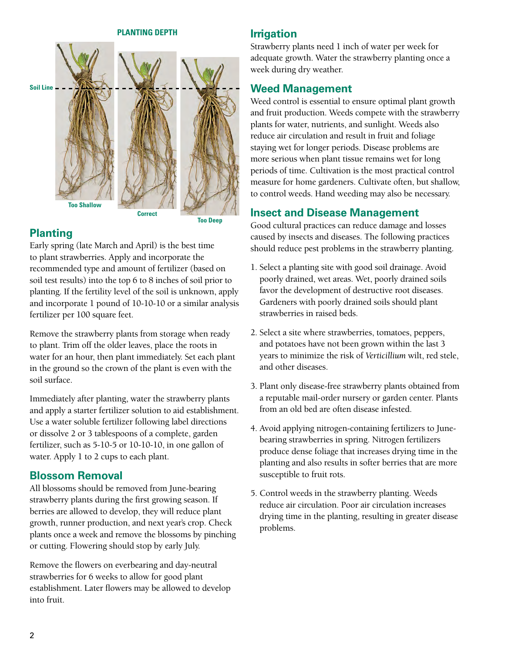#### **PLANTING DEPTH**



#### **Planting**

Early spring (late March and April) is the best time to plant strawberries. Apply and incorporate the recommended type and amount of fertilizer (based on soil test results) into the top 6 to 8 inches of soil prior to planting. If the fertility level of the soil is unknown, apply and incorporate 1 pound of 10-10-10 or a similar analysis fertilizer per 100 square feet.

Remove the strawberry plants from storage when ready to plant. Trim off the older leaves, place the roots in water for an hour, then plant immediately. Set each plant in the ground so the crown of the plant is even with the soil surface.

Immediately after planting, water the strawberry plants and apply a starter fertilizer solution to aid establishment. Use a water soluble fertilizer following label directions or dissolve 2 or 3 tablespoons of a complete, garden fertilizer, such as 5-10-5 or 10-10-10, in one gallon of water. Apply 1 to 2 cups to each plant.

#### **Blossom Removal**

All blossoms should be removed from June-bearing strawberry plants during the first growing season. If berries are allowed to develop, they will reduce plant growth, runner production, and next year's crop. Check plants once a week and remove the blossoms by pinching or cutting. Flowering should stop by early July.

Remove the flowers on everbearing and day-neutral strawberries for 6 weeks to allow for good plant establishment. Later flowers may be allowed to develop into fruit.

#### **Irrigation**

Strawberry plants need 1 inch of water per week for adequate growth. Water the strawberry planting once a week during dry weather.

#### **Weed Management**

Weed control is essential to ensure optimal plant growth and fruit production. Weeds compete with the strawberry plants for water, nutrients, and sunlight. Weeds also reduce air circulation and result in fruit and foliage staying wet for longer periods. Disease problems are more serious when plant tissue remains wet for long periods of time. Cultivation is the most practical control measure for home gardeners. Cultivate often, but shallow, to control weeds. Hand weeding may also be necessary.

#### **Insect and Disease Management**

Good cultural practices can reduce damage and losses caused by insects and diseases. The following practices should reduce pest problems in the strawberry planting.

- 1. Select a planting site with good soil drainage. Avoid poorly drained, wet areas. Wet, poorly drained soils favor the development of destructive root diseases. Gardeners with poorly drained soils should plant strawberries in raised beds.
- 2. Select a site where strawberries, tomatoes, peppers, and potatoes have not been grown within the last 3 years to minimize the risk of *Verticillium* wilt, red stele, and other diseases.
- 3. Plant only disease-free strawberry plants obtained from a reputable mail-order nursery or garden center. Plants from an old bed are often disease infested.
- 4. Avoid applying nitrogen-containing fertilizers to Junebearing strawberries in spring. Nitrogen fertilizers produce dense foliage that increases drying time in the planting and also results in softer berries that are more susceptible to fruit rots.
- 5. Control weeds in the strawberry planting. Weeds reduce air circulation. Poor air circulation increases drying time in the planting, resulting in greater disease problems.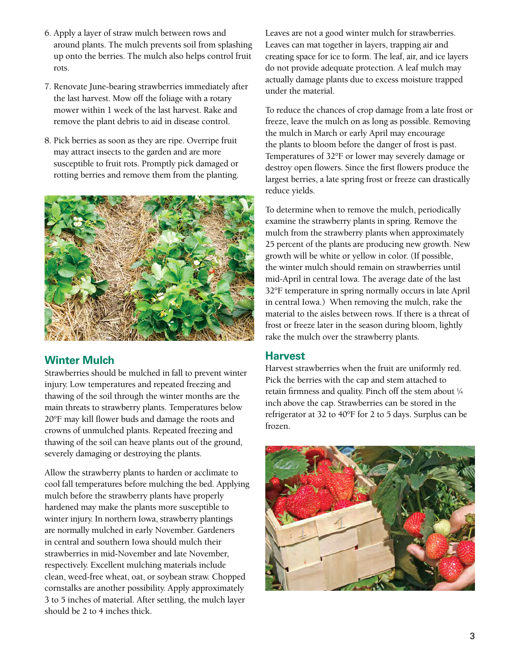- 6. Apply a layer of straw mulch between rows and around plants. The mulch prevents soil from splashing up onto the berries. The mulch also helps control fruit rots.
- 7. Renovate June-bearing strawberries immediately after the last harvest. Mow off the foliage with a rotary mower within 1 week of the last harvest. Rake and remove the plant debris to aid in disease control.
- 8. Pick berries as soon as they are ripe. Overripe fruit may attract insects to the garden and are more susceptible to fruit rots. Promptly pick damaged or rotting berries and remove them from the planting.



# **Winter Mulch**

Strawberries should be mulched in fall to prevent winter injury. Low temperatures and repeated freezing and thawing of the soil through the winter months are the main threats to strawberry plants. Temperatures below 20°F may kill flower buds and damage the roots and crowns of unmulched plants. Repeated freezing and thawing of the soil can heave plants out of the ground, severely damaging or destroying the plants.

Allow the strawberry plants to harden or acclimate to cool fall temperatures before mulching the bed. Applying mulch before the strawberry plants have properly hardened may make the plants more susceptible to winter injury. In northern Iowa, strawberry plantings are normally mulched in early November. Gardeners in central and southern Iowa should mulch their strawberries in mid-November and late November, respectively. Excellent mulching materials include clean, weed-free wheat, oat, or soybean straw. Chopped cornstalks are another possibility. Apply approximately 3 to 5 inches of material. After settling, the mulch layer should be 2 to 4 inches thick.

Leaves are not a good winter mulch for strawberries. Leaves can mat together in layers, trapping air and creating space for ice to form. The leaf, air, and ice layers do not provide adequate protection. A leaf mulch may actually damage plants due to excess moisture trapped under the material.

To reduce the chances of crop damage from a late frost or freeze, leave the mulch on as long as possible. Removing the mulch in March or early April may encourage the plants to bloom before the danger of frost is past. Temperatures of 32°F or lower may severely damage or destroy open flowers. Since the first flowers produce the largest berries, a late spring frost or freeze can drastically reduce yields.

To determine when to remove the mulch, periodically examine the strawberry plants in spring. Remove the mulch from the strawberry plants when approximately 25 percent of the plants are producing new growth. New growth will be white or yellow in color. (If possible, the winter mulch should remain on strawberries until mid-April in central Iowa. The average date of the last 32°F temperature in spring normally occurs in late April in central Iowa.) When removing the mulch, rake the material to the aisles between rows. If there is a threat of frost or freeze later in the season during bloom, lightly rake the mulch over the strawberry plants.

#### **Harvest**

Harvest strawberries when the fruit are uniformly red. Pick the berries with the cap and stem attached to retain firmness and quality. Pinch off the stem about 1 ⁄4 inch above the cap. Strawberries can be stored in the refrigerator at 32 to 40°F for 2 to 5 days. Surplus can be frozen.

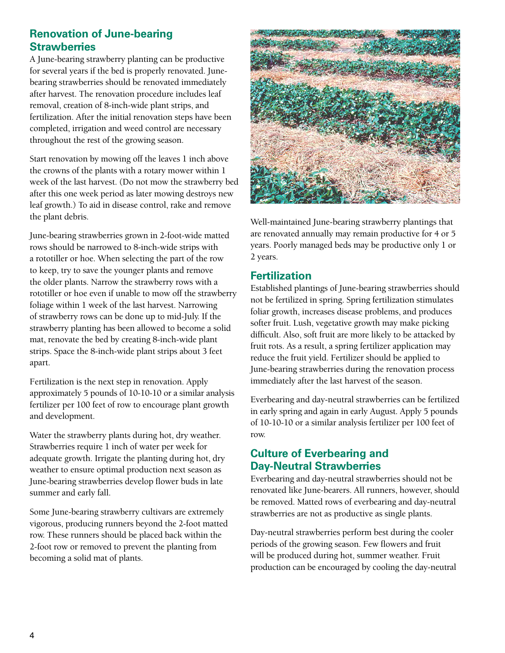# **Renovation of June-bearing Strawberries**

A June-bearing strawberry planting can be productive for several years if the bed is properly renovated. Junebearing strawberries should be renovated immediately after harvest. The renovation procedure includes leaf removal, creation of 8-inch-wide plant strips, and fertilization. After the initial renovation steps have been completed, irrigation and weed control are necessary throughout the rest of the growing season.

Start renovation by mowing off the leaves 1 inch above the crowns of the plants with a rotary mower within 1 week of the last harvest. (Do not mow the strawberry bed after this one week period as later mowing destroys new leaf growth.) To aid in disease control, rake and remove the plant debris.

June-bearing strawberries grown in 2-foot-wide matted rows should be narrowed to 8-inch-wide strips with a rototiller or hoe. When selecting the part of the row to keep, try to save the younger plants and remove the older plants. Narrow the strawberry rows with a rototiller or hoe even if unable to mow off the strawberry foliage within 1 week of the last harvest. Narrowing of strawberry rows can be done up to mid-July. If the strawberry planting has been allowed to become a solid mat, renovate the bed by creating 8-inch-wide plant strips. Space the 8-inch-wide plant strips about 3 feet apart.

Fertilization is the next step in renovation. Apply approximately 5 pounds of 10-10-10 or a similar analysis fertilizer per 100 feet of row to encourage plant growth and development.

Water the strawberry plants during hot, dry weather. Strawberries require 1 inch of water per week for adequate growth. Irrigate the planting during hot, dry weather to ensure optimal production next season as June-bearing strawberries develop flower buds in late summer and early fall.

Some June-bearing strawberry cultivars are extremely vigorous, producing runners beyond the 2-foot matted row. These runners should be placed back within the 2-foot row or removed to prevent the planting from becoming a solid mat of plants.



Well-maintained June-bearing strawberry plantings that are renovated annually may remain productive for 4 or 5 years. Poorly managed beds may be productive only 1 or 2 years.

#### **Fertilization**

Established plantings of June-bearing strawberries should not be fertilized in spring. Spring fertilization stimulates foliar growth, increases disease problems, and produces softer fruit. Lush, vegetative growth may make picking difficult. Also, soft fruit are more likely to be attacked by fruit rots. As a result, a spring fertilizer application may reduce the fruit yield. Fertilizer should be applied to June-bearing strawberries during the renovation process immediately after the last harvest of the season.

Everbearing and day-neutral strawberries can be fertilized in early spring and again in early August. Apply 5 pounds of 10-10-10 or a similar analysis fertilizer per 100 feet of row.

#### **Culture of Everbearing and Day-Neutral Strawberries**

Everbearing and day-neutral strawberries should not be renovated like June-bearers. All runners, however, should be removed. Matted rows of everbearing and day-neutral strawberries are not as productive as single plants.

Day-neutral strawberries perform best during the cooler periods of the growing season. Few flowers and fruit will be produced during hot, summer weather. Fruit production can be encouraged by cooling the day-neutral